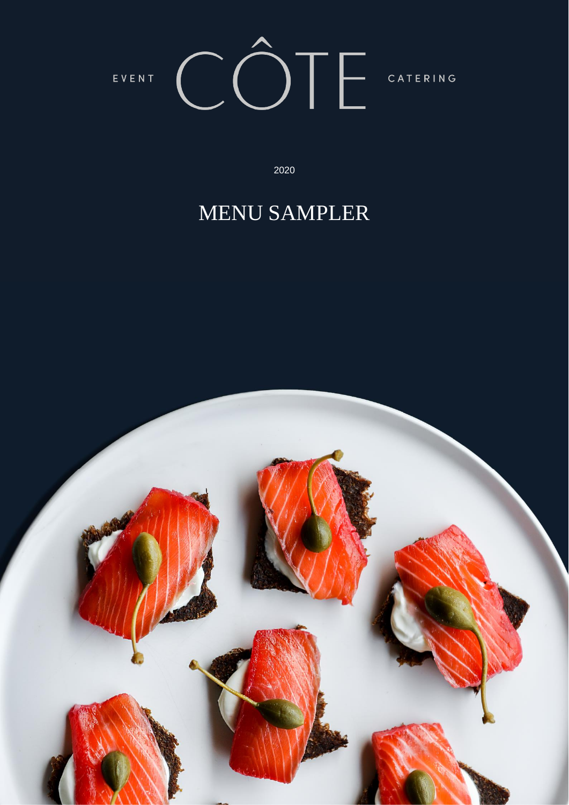

 $2020$  and the contract party  $2020$ 2020

# MENU SAMPLER

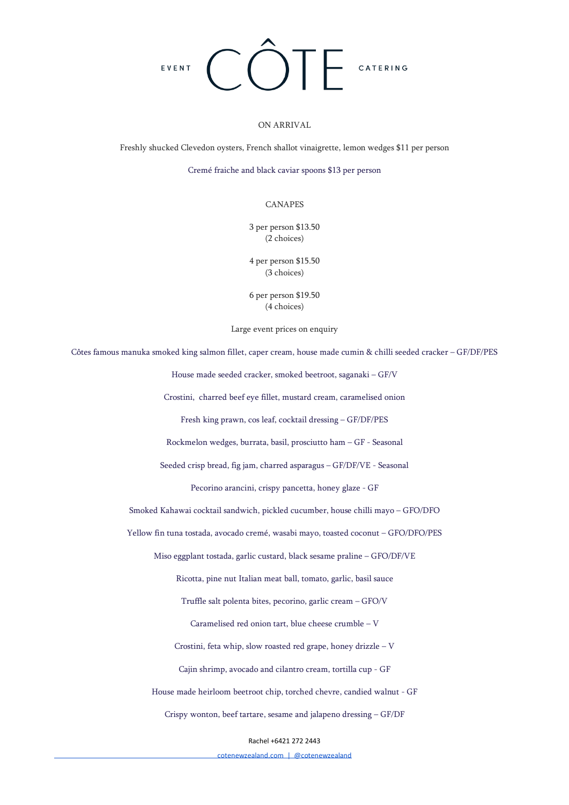

# ON ARRIVAL

Freshly shucked Clevedon oysters, French shallot vinaigrette, lemon wedges \$11 per person

Cremé fraiche and black caviar spoons \$13 per person

# CANAPES

3 per person \$13.50 (2 choices)

4 per person \$15.50 (3 choices)

6 per person \$19.50 (4 choices)

Large event prices on enquiry

Côtes famous manuka smoked king salmon fillet, caper cream, house made cumin & chilli seeded cracker – GF/DF/PES

House made seeded cracker, smoked beetroot, saganaki – GF/V

Crostini, charred beef eye fillet, mustard cream, caramelised onion

Fresh king prawn, cos leaf, cocktail dressing – GF/DF/PES

Rockmelon wedges, burrata, basil, prosciutto ham – GF - Seasonal

Seeded crisp bread, fig jam, charred asparagus – GF/DF/VE - Seasonal

Pecorino arancini, crispy pancetta, honey glaze - GF

Smoked Kahawai cocktail sandwich, pickled cucumber, house chilli mayo – GFO/DFO

Yellow fin tuna tostada, avocado cremé, wasabi mayo, toasted coconut – GFO/DFO/PES

Miso eggplant tostada, garlic custard, black sesame praline – GFO/DF/VE

Ricotta, pine nut Italian meat ball, tomato, garlic, basil sauce

Truffle salt polenta bites, pecorino, garlic cream – GFO/V

Caramelised red onion tart, blue cheese crumble – V

Crostini, feta whip, slow roasted red grape, honey drizzle – V

Cajin shrimp, avocado and cilantro cream, tortilla cup - GF

House made heirloom beetroot chip, torched chevre, candied walnut - GF

Crispy wonton, beef tartare, sesame and jalapeno dressing – GF/DF

Rachel +6421 272 2443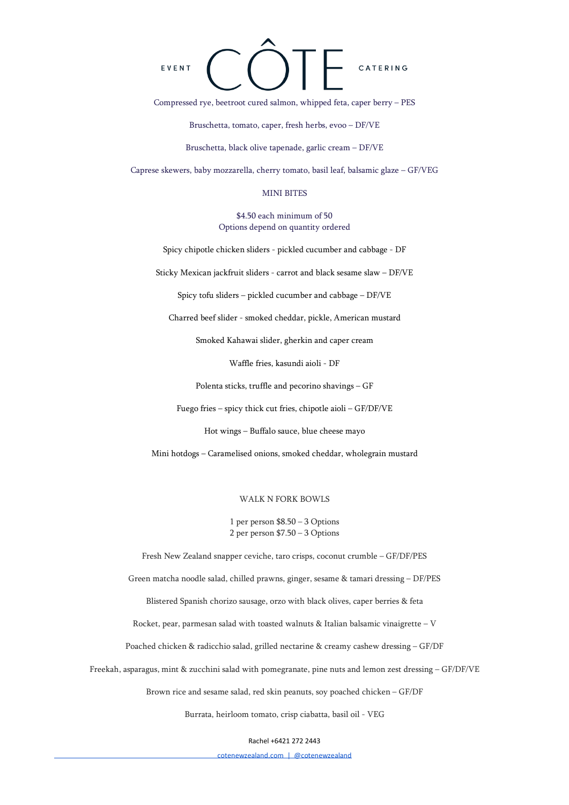

Compressed rye, beetroot cured salmon, whipped feta, caper berry – PES

Bruschetta, tomato, caper, fresh herbs, evoo – DF/VE

Bruschetta, black olive tapenade, garlic cream – DF/VE

Caprese skewers, baby mozzarella, cherry tomato, basil leaf, balsamic glaze – GF/VEG

## MINI BITES

\$4.50 each minimum of 50 Options depend on quantity ordered

Spicy chipotle chicken sliders - pickled cucumber and cabbage - DF

Sticky Mexican jackfruit sliders - carrot and black sesame slaw – DF/VE

Spicy tofu sliders – pickled cucumber and cabbage – DF/VE

Charred beef slider - smoked cheddar, pickle, American mustard

Smoked Kahawai slider, gherkin and caper cream

Waffle fries, kasundi aioli - DF

Polenta sticks, truffle and pecorino shavings – GF

Fuego fries – spicy thick cut fries, chipotle aioli – GF/DF/VE

Hot wings – Buffalo sauce, blue cheese mayo

Mini hotdogs – Caramelised onions, smoked cheddar, wholegrain mustard

#### WALK N FORK BOWLS

1 per person \$8.50 – 3 Options 2 per person \$7.50 – 3 Options

Fresh New Zealand snapper ceviche, taro crisps, coconut crumble – GF/DF/PES

Green matcha noodle salad, chilled prawns, ginger, sesame & tamari dressing – DF/PES

Blistered Spanish chorizo sausage, orzo with black olives, caper berries & feta

Rocket, pear, parmesan salad with toasted walnuts & Italian balsamic vinaigrette – V

Poached chicken & radicchio salad, grilled nectarine & creamy cashew dressing – GF/DF

Freekah, asparagus, mint & zucchini salad with pomegranate, pine nuts and lemon zest dressing – GF/DF/VE

Brown rice and sesame salad, red skin peanuts, soy poached chicken – GF/DF

Burrata, heirloom tomato, crisp ciabatta, basil oil - VEG

Rachel +6421 272 2443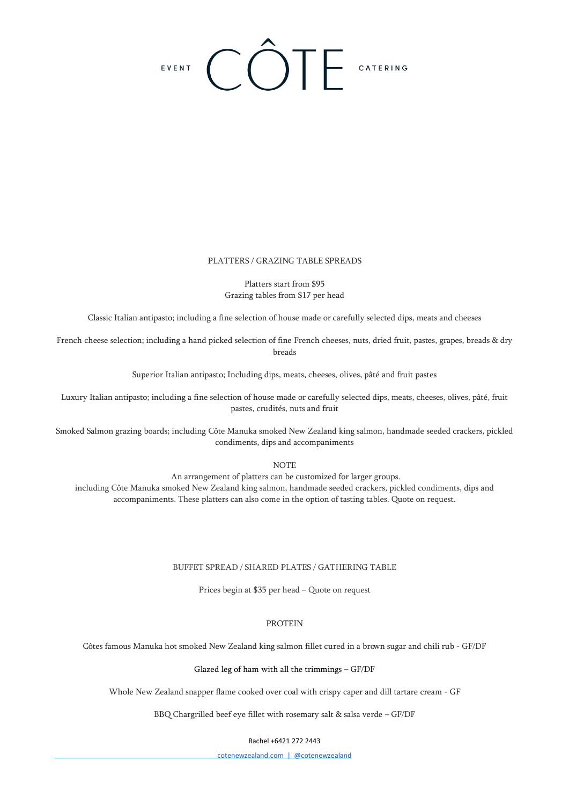# EVENT COTE CATERING

## PLATTERS / GRAZING TABLE SPREADS

Platters start from \$95 Grazing tables from \$17 per head

Classic Italian antipasto; including a fine selection of house made or carefully selected dips, meats and cheeses

French cheese selection; including a hand picked selection of fine French cheeses, nuts, dried fruit, pastes, grapes, breads & dry breads

Superior Italian antipasto; Including dips, meats, cheeses, olives, pâté and fruit pastes

Luxury Italian antipasto; including a fine selection of house made or carefully selected dips, meats, cheeses, olives, pâté, fruit pastes, crudités, nuts and fruit

Smoked Salmon grazing boards; including Côte Manuka smoked New Zealand king salmon, handmade seeded crackers, pickled condiments, dips and accompaniments

**NOTE** 

An arrangement of platters can be customized for larger groups. including Côte Manuka smoked New Zealand king salmon, handmade seeded crackers, pickled condiments, dips and accompaniments. These platters can also come in the option of tasting tables. Quote on request.

#### BUFFET SPREAD / SHARED PLATES / GATHERING TABLE

Prices begin at \$35 per head – Quote on request

# PROTEIN

Côtes famous Manuka hot smoked New Zealand king salmon fillet cured in a brown sugar and chili rub - GF/DF

#### Glazed leg of ham with all the trimmings – GF/DF

Whole New Zealand snapper flame cooked over coal with crispy caper and dill tartare cream - GF

BBQ Chargrilled beef eye fillet with rosemary salt & salsa verde – GF/DF

#### Rachel +6421 272 2443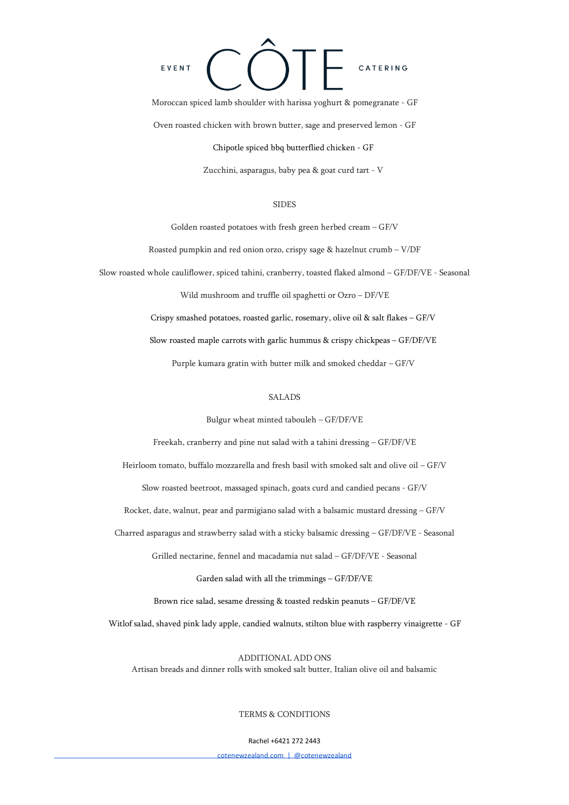# EVENT CATERING

Moroccan spiced lamb shoulder with harissa yoghurt & pomegranate - GF Oven roasted chicken with brown butter, sage and preserved lemon - GF

Chipotle spiced bbq butterflied chicken - GF

Zucchini, asparagus, baby pea & goat curd tart - V

### SIDES

Golden roasted potatoes with fresh green herbed cream – GF/V

Roasted pumpkin and red onion orzo, crispy sage & hazelnut crumb – V/DF

Slow roasted whole cauliflower, spiced tahini, cranberry, toasted flaked almond – GF/DF/VE - Seasonal

Wild mushroom and truffle oil spaghetti or Ozro – DF/VE

Crispy smashed potatoes, roasted garlic, rosemary, olive oil & salt flakes – GF/V

Slow roasted maple carrots with garlic hummus & crispy chickpeas – GF/DF/VE

Purple kumara gratin with butter milk and smoked cheddar – GF/V

#### SALADS

Bulgur wheat minted tabouleh – GF/DF/VE

Freekah, cranberry and pine nut salad with a tahini dressing – GF/DF/VE

Heirloom tomato, buffalo mozzarella and fresh basil with smoked salt and olive oil – GF/V

Slow roasted beetroot, massaged spinach, goats curd and candied pecans - GF/V

Rocket, date, walnut, pear and parmigiano salad with a balsamic mustard dressing – GF/V

Charred asparagus and strawberry salad with a sticky balsamic dressing – GF/DF/VE - Seasonal

Grilled nectarine, fennel and macadamia nut salad – GF/DF/VE - Seasonal

Garden salad with all the trimmings – GF/DF/VE

Brown rice salad, sesame dressing & toasted redskin peanuts – GF/DF/VE

Witlof salad, shaved pink lady apple, candied walnuts, stilton blue with raspberry vinaigrette - GF

ADDITIONAL ADD ONS Artisan breads and dinner rolls with smoked salt butter, Italian olive oil and balsamic

#### TERMS & CONDITIONS

#### Rachel +6421 272 2443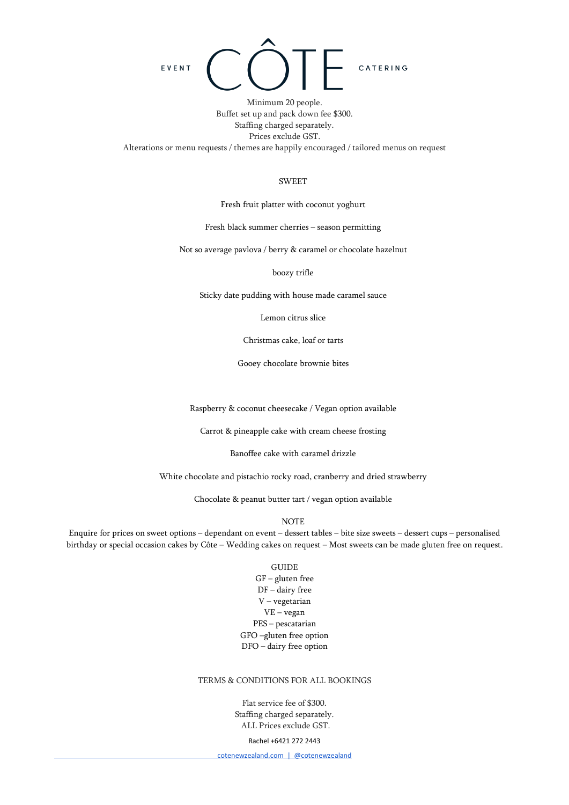

Minimum 20 people. Buffet set up and pack down fee \$300. Staffing charged separately. Prices exclude GST. Alterations or menu requests / themes are happily encouraged / tailored menus on request

#### **SWEET**

Fresh fruit platter with coconut yoghurt

Fresh black summer cherries – season permitting

Not so average pavlova / berry & caramel or chocolate hazelnut

boozy trifle

Sticky date pudding with house made caramel sauce

Lemon citrus slice

Christmas cake, loaf or tarts

Gooey chocolate brownie bites

Raspberry & coconut cheesecake / Vegan option available

Carrot & pineapple cake with cream cheese frosting

Banoffee cake with caramel drizzle

White chocolate and pistachio rocky road, cranberry and dried strawberry

Chocolate & peanut butter tart / vegan option available

NOTE

Enquire for prices on sweet options – dependant on event – dessert tables – bite size sweets – dessert cups – personalised birthday or special occasion cakes by Côte – Wedding cakes on request – Most sweets can be made gluten free on request.

#### GUIDE

GF – gluten free DF – dairy free V – vegetarian VE – vegan PES – pescatarian GFO –gluten free option DFO – dairy free option

# TERMS & CONDITIONS FOR ALL BOOKINGS

Flat service fee of \$300. Staffing charged separately. ALL Prices exclude GST.

#### Rachel +6421 272 2443